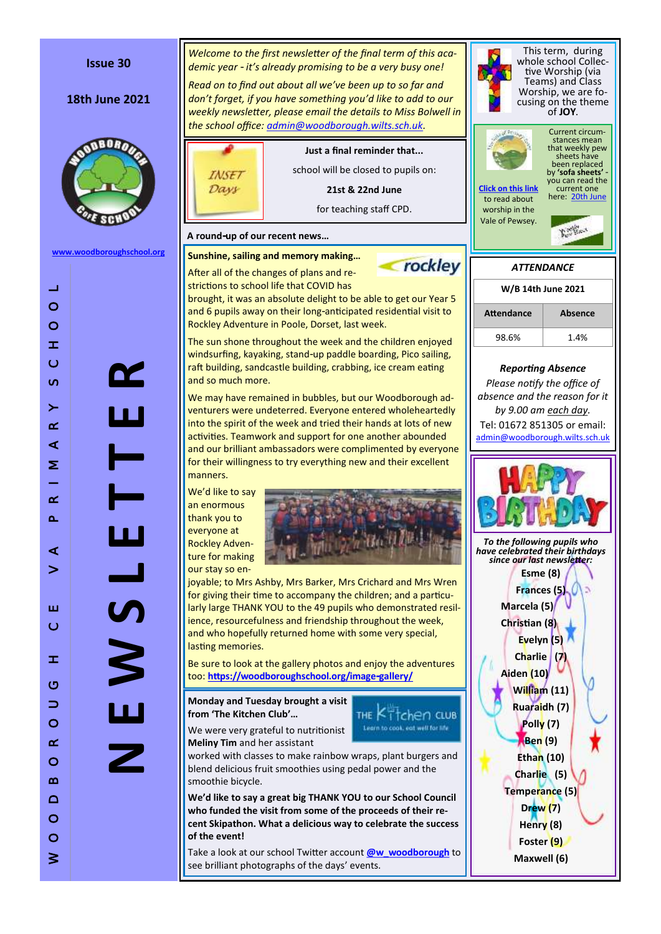

### **Issue 30**

## **18th June 2021**



**[www.woodboroughschool.org](https://woodboroughschool.org/)**

DZ

 $\overline{\phantom{0}}$ 

Ц

 $\mathcal{L}$ 

 $\Box$ 

**N E W S L E T T E R**

and so much more. manners. We 'd like to say an enormous

thank you to everyone at Rockley Adventure for making our stay so en-

for giving their time to accompany the children; and a particularly large THANK YOU to the 49 pupils who demonstrated resil ience, resourcefulness and friendship throughout the week, and who hopefully returned home with some very special, lasting memories.

too: **[https://woodboroughschool.org/image](https://woodboroughschool.org/image-gallery/) -gallery/**

**from 'The Kitchen Club'…** 

worked with classes to make rainbow wraps, plant burgers and blend delicious fruit smoothies using pedal power and the smoothie bicycle.

**We 'd like to say a great big THANK YOU to our School Council who funded the visit from some of the proceeds of their recent Skipathon. What a delicious way to celebrate the success of the event!**

see brilliant photographs of the days' events.